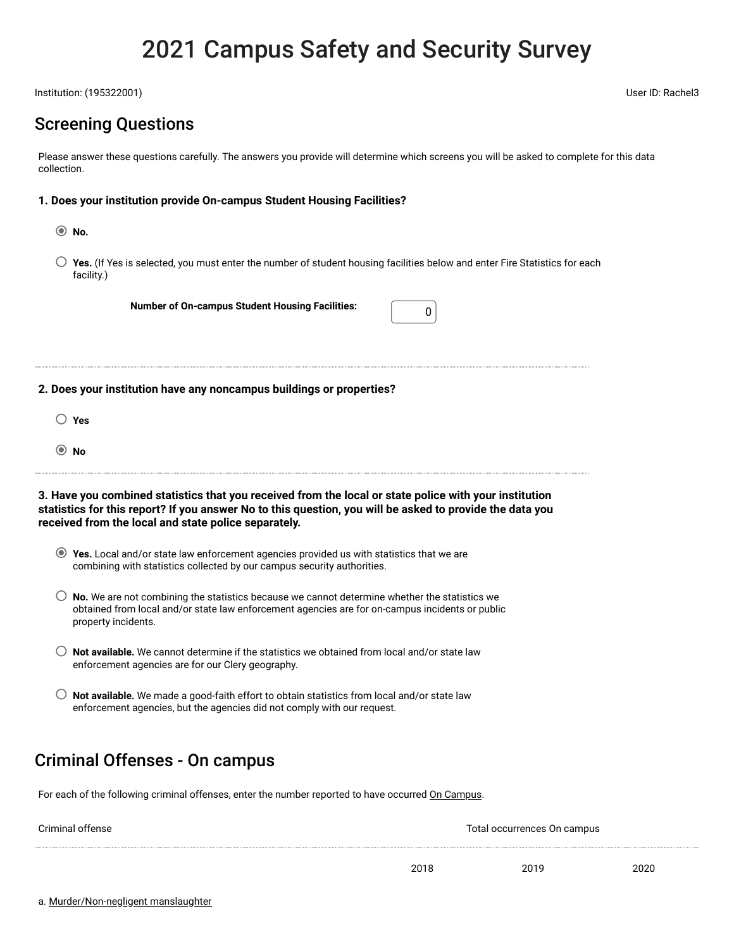# 2021 Campus Safety and Security Survey

Institution: (195322001) User ID: Rachel3

## Screening Questions

Please answer these questions carefully. The answers you provide will determine which screens you will be asked to complete for this data collection.

### **1. Does your institution provide On-campus Student Housing Facilities?**

- **No.**
- **0 Yes.** (If Yes is selected, you must enter the number of student housing facilities below and enter Fire Statistics for each facility.)

**Number of On-campus Student Housing Facilities:** <sup>0</sup>

**2. Does your institution have any noncampus buildings or properties?**

- **0 Yes**
- **No**

**3. Have you combined statistics that you received from the local or state police with your institution statistics for this report? If you answer No to this question, you will be asked to provide the data you received from the local and state police separately.**

- **Yes.** Local and/or state law enforcement agencies provided us with statistics that we are combining with statistics collected by our campus security authorities.
- **0 No.** We are not combining the statistics because we cannot determine whether the statistics we obtained from local and/or state law enforcement agencies are for on-campus incidents or public property incidents.
- **0 Not available.** We cannot determine if the statistics we obtained from local and/or state law enforcement agencies are for our Clery geography.
- **0 Not available.** We made a good-faith effort to obtain statistics from local and/or state law enforcement agencies, but the agencies did not comply with our request.

## Criminal Offenses - On campus

For each of the following criminal offenses, enter the number reported to have occurred On Campus.

| Criminal offense |      | Total occurrences On campus |      |
|------------------|------|-----------------------------|------|
|                  |      |                             |      |
|                  | 2018 | 2019                        | 2020 |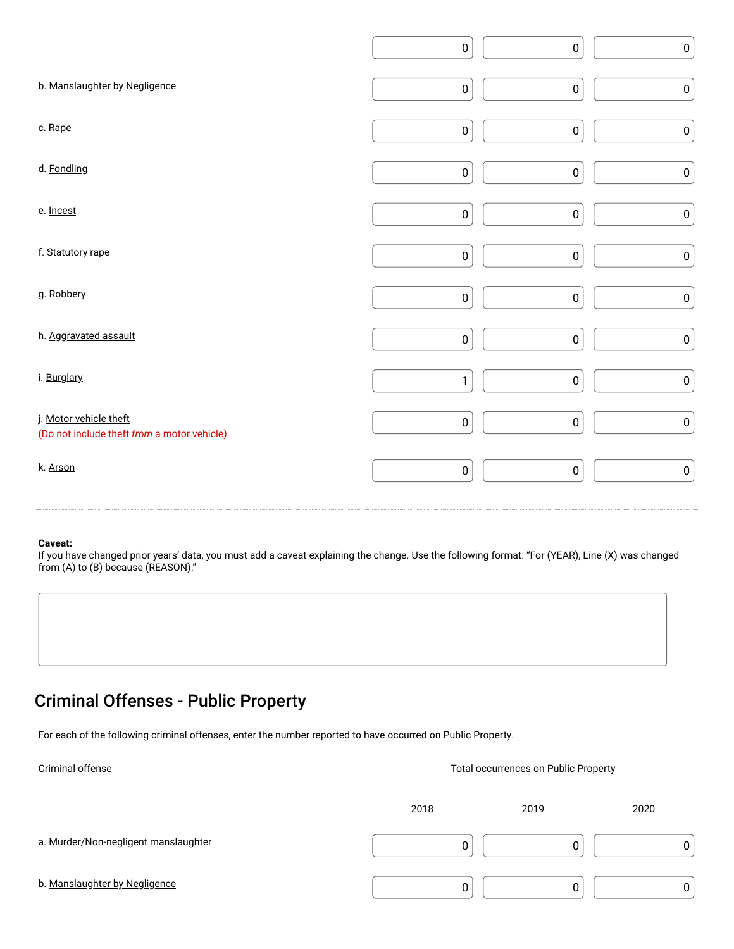|                                                                       | $\pmb{0}$ | $\pmb{0}$ | $\pmb{0}$ |
|-----------------------------------------------------------------------|-----------|-----------|-----------|
| b. Manslaughter by Negligence                                         | $\pmb{0}$ | $\pmb{0}$ | $\pmb{0}$ |
| c. Rape                                                               | $\pmb{0}$ | $\pmb{0}$ | $\pmb{0}$ |
| d. Fondling                                                           | $\pmb{0}$ | $\pmb{0}$ | $\pmb{0}$ |
| e. Incest                                                             | $\pmb{0}$ | $\pmb{0}$ | $\pmb{0}$ |
| f. Statutory rape                                                     | $\pmb{0}$ | $\pmb{0}$ | $\pmb{0}$ |
| g. Robbery                                                            | $\pmb{0}$ | $\pmb{0}$ | $\pmb{0}$ |
| h. Aggravated assault                                                 | $\pmb{0}$ | $\pmb{0}$ | $\pmb{0}$ |
| i. Burglary                                                           | 1         | $\pmb{0}$ | $\pmb{0}$ |
| j. Motor vehicle theft<br>(Do not include theft from a motor vehicle) | $\pmb{0}$ | $\pmb{0}$ | $\pmb{0}$ |
| k. Arson                                                              | $\pmb{0}$ | $\pmb{0}$ | $\pmb{0}$ |
|                                                                       |           |           |           |

If you have changed prior years' data, you must add a caveat explaining the change. Use the following format: "For (YEAR), Line (X) was changed from (A) to (B) because (REASON)."

## Criminal Offenses - Public Property

For each of the following criminal offenses, enter the number reported to have occurred on Public Property.

| <b>Criminal offense</b>              | <b>Total occurrences on Public Property</b> |      |      |  |  |  |  |
|--------------------------------------|---------------------------------------------|------|------|--|--|--|--|
|                                      | 2018                                        | 2019 | 2020 |  |  |  |  |
| a. Murder/Non-negligent manslaughter |                                             |      |      |  |  |  |  |
| b. Manslaughter by Negligence        |                                             |      |      |  |  |  |  |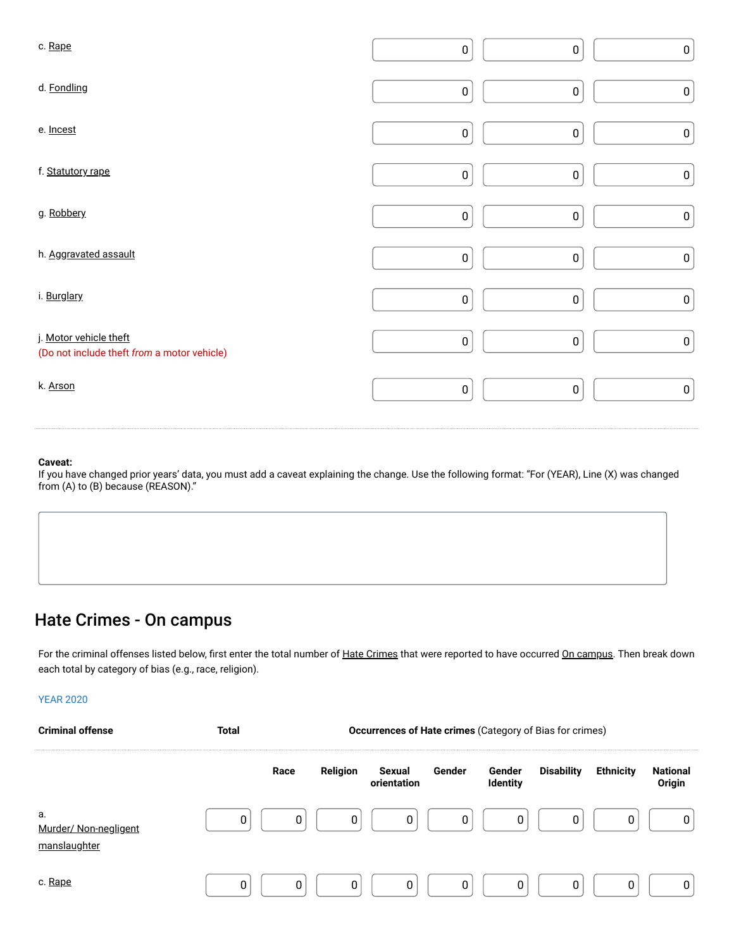| c. Rape                                                               | $\pmb{0}$ | $\pmb{0}$ | $\pmb{0}$ |
|-----------------------------------------------------------------------|-----------|-----------|-----------|
| d. Fondling                                                           | $\pmb{0}$ | $\pmb{0}$ | $\pmb{0}$ |
| e. Incest                                                             | $\pmb{0}$ | $\pmb{0}$ | $\pmb{0}$ |
| f. Statutory rape                                                     | $\pmb{0}$ | $\pmb{0}$ | $\pmb{0}$ |
| g. Robbery                                                            | $\pmb{0}$ | $\pmb{0}$ | $\pmb{0}$ |
| h. Aggravated assault                                                 | $\pmb{0}$ | $\pmb{0}$ | $\pmb{0}$ |
| i. Burglary                                                           | $\pmb{0}$ | $\pmb{0}$ | $\pmb{0}$ |
| j. Motor vehicle theft<br>(Do not include theft from a motor vehicle) | $\pmb{0}$ | $\pmb{0}$ | $\pmb{0}$ |
| k. Arson                                                              | $\pmb{0}$ | $\pmb{0}$ | $\pmb{0}$ |

If you have changed prior years' data, you must add a caveat explaining the change. Use the following format: "For (YEAR), Line (X) was changed from (A) to (B) because (REASON)."

## Hate Crimes - On campus

For the criminal offenses listed below, first enter the total number of Hate Crimes that were reported to have occurred On campus. Then break down each total by category of bias (e.g., race, religion).

| <b>YEAR 2020</b>                            |              |      |          |                                                          |        |                    |                   |                  |                           |  |
|---------------------------------------------|--------------|------|----------|----------------------------------------------------------|--------|--------------------|-------------------|------------------|---------------------------|--|
| <b>Criminal offense</b>                     | <b>Total</b> |      |          | Occurrences of Hate crimes (Category of Bias for crimes) |        |                    |                   |                  |                           |  |
|                                             |              | Race | Religion | Sexual<br>orientation                                    | Gender | Gender<br>Identity | <b>Disability</b> | <b>Ethnicity</b> | <b>National</b><br>Origin |  |
| а.<br>Murder/ Non-negligent<br>manslaughter | 0            | 0    | 0        | 0                                                        | 0      | 0                  | 0                 | 0                |                           |  |
| c. Rape                                     | 0            | 0    | 0        | 0                                                        | 0      | 0                  | 0                 | 0                |                           |  |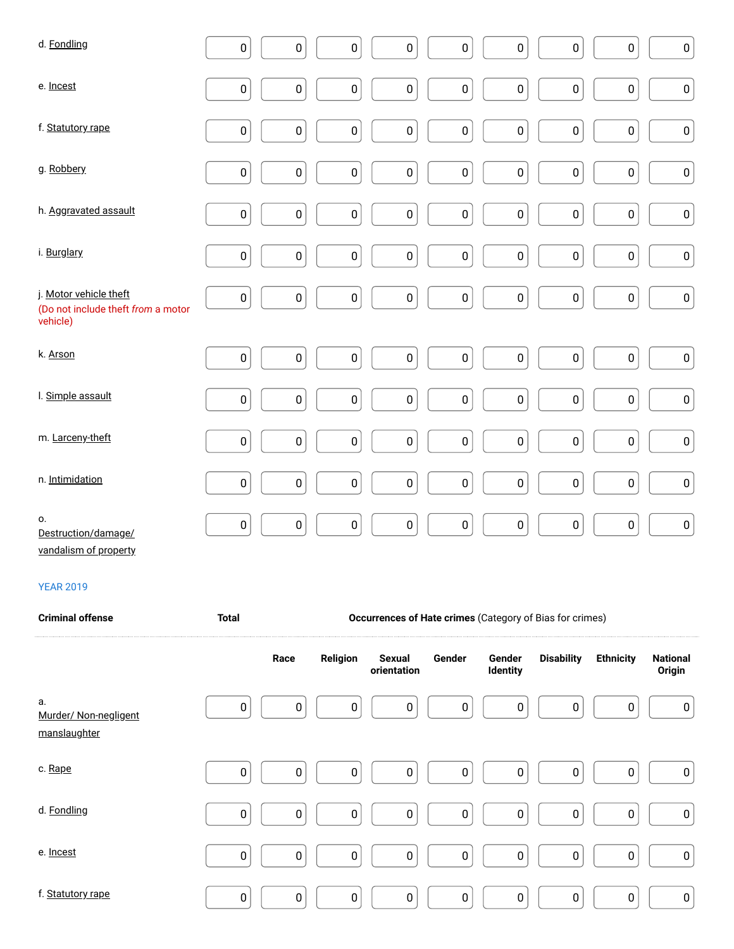| d. Fondling                                                              | $\pmb{0}$ | $\pmb{0}$   | $\pmb{0}$ | $\pmb{0}$ | $\pmb{0}$   | $\pmb{0}$        | $\pmb{0}$ | $\pmb{0}$<br>$\pmb{0}$   |
|--------------------------------------------------------------------------|-----------|-------------|-----------|-----------|-------------|------------------|-----------|--------------------------|
| e. Incest                                                                | $\pmb{0}$ | $\pmb{0}$   | $\pmb{0}$ | 0         | 0           | $\pmb{0}$        | $\pmb{0}$ | $\pmb{0}$<br>$\pmb{0}$   |
| f. Statutory rape                                                        | $\pmb{0}$ | $\pmb{0}$   | $\pmb{0}$ | $\pmb{0}$ | $\pmb{0}$   | $\pmb{0}$        | $\pmb{0}$ | $\pmb{0}$<br>$\pmb{0}$   |
| g. Robbery                                                               | $\pmb{0}$ | $\pmb{0}$   | $\pmb{0}$ | $\pmb{0}$ | $\pmb{0}$   | $\boldsymbol{0}$ | $\pmb{0}$ | $\pmb{0}$<br>$\pmb{0}$   |
| h. Aggravated assault                                                    | $\pmb{0}$ | $\pmb{0}$   | $\pmb{0}$ | $\pmb{0}$ | $\pmb{0}$   | $\pmb{0}$        | $\pmb{0}$ | $\pmb{0}$<br>$\pmb{0}$   |
| i. Burglary                                                              | $\pmb{0}$ | $\pmb{0}$   | $\pmb{0}$ | $\pmb{0}$ | $\pmb{0}$   | $\boldsymbol{0}$ | $\pmb{0}$ | $\pmb{0}$<br>$\pmb{0}$   |
| j. Motor vehicle theft<br>(Do not include theft from a motor<br>vehicle) | $\pmb{0}$ | $\pmb{0}$   | $\pmb{0}$ | $\pmb{0}$ | $\pmb{0}$   | $\pmb{0}$        | $\pmb{0}$ | $\pmb{0}$<br>$\pmb{0}$   |
| k. Arson                                                                 | $\pmb{0}$ | $\mathbf 0$ | $\pmb{0}$ | $\pmb{0}$ | $\pmb{0}$   | $\pmb{0}$        | $\pmb{0}$ | $\pmb{0}$<br>$\pmb{0}$   |
| I. Simple assault                                                        | $\pmb{0}$ | $\pmb{0}$   | $\pmb{0}$ | $\pmb{0}$ | $\mathbf 0$ | $\pmb{0}$        | $\pmb{0}$ | $\mathbf 0$<br>$\pmb{0}$ |
| m. Larceny-theft                                                         | $\pmb{0}$ | $\pmb{0}$   | $\pmb{0}$ | $\pmb{0}$ | $\pmb{0}$   | $\boldsymbol{0}$ | $\pmb{0}$ | $\pmb{0}$<br>$\pmb{0}$   |
| n. Intimidation                                                          | $\pmb{0}$ | $\pmb{0}$   | $\pmb{0}$ | $\pmb{0}$ | 0           | $\pmb{0}$        | $\pmb{0}$ | $\pmb{0}$<br>$\pmb{0}$   |
| 0.<br>Destruction/damage/<br>vandalism of proporty                       | $\pmb{0}$ | $\pmb{0}$   | $\pmb{0}$ | 0         | $\pmb{0}$   | $\pmb{0}$        | $\pmb{0}$ | $\pmb{0}$<br>$\pmb{0}$   |

vandalism of property

| <b>Criminal offense</b>                     | <b>Total</b> |                  | <b>Occurrences of Hate crimes (Category of Bias for crimes)</b> |                              |             |                           |                   |                  |                           |
|---------------------------------------------|--------------|------------------|-----------------------------------------------------------------|------------------------------|-------------|---------------------------|-------------------|------------------|---------------------------|
|                                             |              | Race             | Religion                                                        | <b>Sexual</b><br>orientation | Gender      | Gender<br><b>Identity</b> | <b>Disability</b> | <b>Ethnicity</b> | <b>National</b><br>Origin |
| а.<br>Murder/ Non-negligent<br>manslaughter | $\mathbf 0$  | $\pmb{0}$        | 0                                                               | 0                            | 0           | $\bf{0}$                  | 0                 | $\pmb{0}$        | 0                         |
| c. Rape                                     | $\mathbf 0$  | $\boldsymbol{0}$ | 0                                                               | 0                            | $\mathbf 0$ | $\mathbf 0$               | 0                 | $\pmb{0}$        | 0                         |
| d. Fondling                                 | $\mathbf 0$  | $\boldsymbol{0}$ | $\pmb{0}$                                                       | 0                            | $\pmb{0}$   | $\mathbf 0$               | 0                 | $\pmb{0}$        | 0                         |
| e. Incest                                   | $\pmb{0}$    | $\mathbf 0$      | 0                                                               | 0                            | $\mathbf 0$ | $\mathbf 0$               | 0                 | $\pmb{0}$        | 0                         |
| f. Statutory rape                           | $\pmb{0}$    | $\pmb{0}$        | 0                                                               | 0                            | $\pmb{0}$   | $\mathbf 0$               | $\pmb{0}$         | $\pmb{0}$        | 0                         |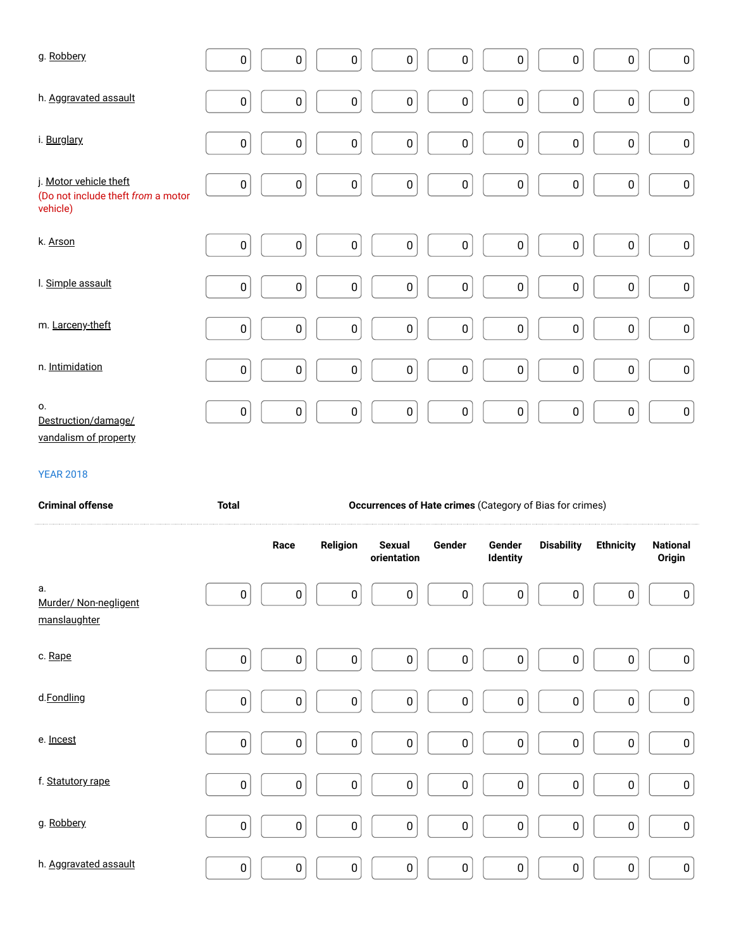| g. Robbery                                                               | $\pmb{0}$    | $\pmb{0}$ | $\pmb{0}$ | $\pmb{0}$                    | $\pmb{0}$ | $\pmb{0}$                 | $\pmb{0}$                                                | $\pmb{0}$        | $\pmb{0}$                 |
|--------------------------------------------------------------------------|--------------|-----------|-----------|------------------------------|-----------|---------------------------|----------------------------------------------------------|------------------|---------------------------|
| h. Aggravated assault                                                    | $\pmb{0}$    | $\pmb{0}$ | $\pmb{0}$ | $\pmb{0}$                    | 0         | $\pmb{0}$                 | $\pmb{0}$                                                | $\pmb{0}$        | $\pmb{0}$                 |
| i. Burglary                                                              | $\pmb{0}$    | $\pmb{0}$ | $\pmb{0}$ | 0                            | 0         | $\pmb{0}$                 | 0                                                        | $\pmb{0}$        | $\pmb{0}$                 |
| j. Motor vehicle theft<br>(Do not include theft from a motor<br>vehicle) | $\pmb{0}$    | $\pmb{0}$ | $\pmb{0}$ | $\pmb{0}$                    | 0         | $\pmb{0}$                 | $\pmb{0}$                                                | $\pmb{0}$        | $\pmb{0}$                 |
| k. Arson                                                                 | $\pmb{0}$    | $\pmb{0}$ | $\pmb{0}$ | $\pmb{0}$                    | 0         | $\pmb{0}$                 | $\pmb{0}$                                                | $\pmb{0}$        | $\pmb{0}$                 |
| I. Simple assault                                                        | $\pmb{0}$    | $\pmb{0}$ | $\pmb{0}$ | $\pmb{0}$                    | 0         | $\pmb{0}$                 | $\pmb{0}$                                                | $\pmb{0}$        | $\pmb{0}$                 |
| m. Larceny-theft                                                         | $\pmb{0}$    | $\pmb{0}$ | $\pmb{0}$ | $\pmb{0}$                    | 0         | $\pmb{0}$                 | 0                                                        | $\pmb{0}$        | $\pmb{0}$                 |
| n. Intimidation                                                          | $\pmb{0}$    | $\pmb{0}$ | $\pmb{0}$ | $\pmb{0}$                    | $\pmb{0}$ | $\pmb{0}$                 | 0                                                        | $\pmb{0}$        | 0                         |
| 0.<br>Destruction/damage/                                                | $\pmb{0}$    | $\pmb{0}$ | $\pmb{0}$ | $\pmb{0}$                    | $\pmb{0}$ | $\pmb{0}$                 | $\pmb{0}$                                                | $\pmb{0}$        | $\pmb{0}$                 |
| vandalism of property                                                    |              |           |           |                              |           |                           |                                                          |                  |                           |
| <b>YEAR 2018</b>                                                         |              |           |           |                              |           |                           |                                                          |                  |                           |
| <b>Criminal offense</b>                                                  | <b>Total</b> |           |           |                              |           |                           | Occurrences of Hate crimes (Category of Bias for crimes) |                  |                           |
|                                                                          |              | Race      | Religion  | <b>Sexual</b><br>orientation | Gender    | Gender<br><b>Identity</b> | <b>Disability</b>                                        | <b>Ethnicity</b> | <b>National</b><br>Origin |
| a.<br>Murder/ Non-negligent<br>manslaughter                              | $\pmb{0}$    | $\pmb{0}$ | $\pmb{0}$ | $\pmb{0}$                    | 0         | $\pmb{0}$                 | $\pmb{0}$                                                | $\pmb{0}$        | $\pmb{0}$                 |
| c. Rape                                                                  | $\pmb{0}$    | $\pmb{0}$ | $\pmb{0}$ | $\pmb{0}$                    | $\pmb{0}$ | $\pmb{0}$                 | $\pmb{0}$                                                | $\pmb{0}$        | $\pmb{0}$                 |
| d.Fondling                                                               | $\pmb{0}$    | $\pmb{0}$ | $\pmb{0}$ | $\pmb{0}$                    | $\pmb{0}$ | $\pmb{0}$                 | $\pmb{0}$                                                | $\pmb{0}$        | $\pmb{0}$                 |

DDDDDDDDD

0 0 0 0 0 0 0 0 0

DDDDDDDDD

0 0 0 0 0 0 0 0 0

DDDDDDDDD

0 0 0 0 0 0 0 0 0

f. Statutory rape

g. Robbery

h. Aggravated assault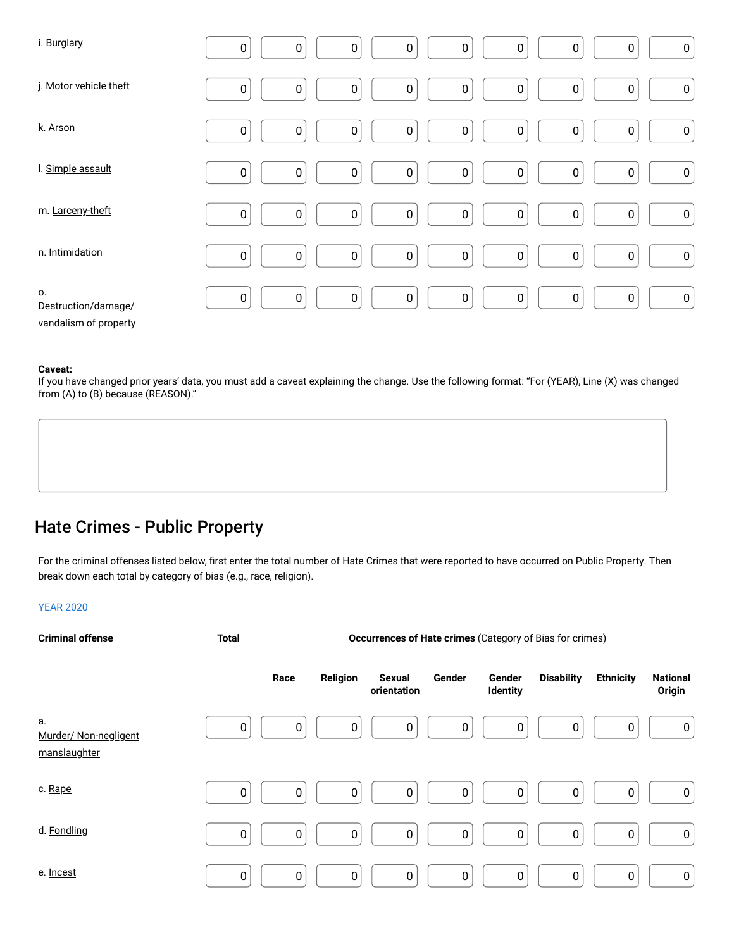| i. Burglary                                        | $\boldsymbol{0}$ | $\pmb{0}$ | $\pmb{0}$        | $\pmb{0}$ | $\pmb{0}$ | $\pmb{0}$        | $\pmb{0}$ | $\pmb{0}$<br>0         |
|----------------------------------------------------|------------------|-----------|------------------|-----------|-----------|------------------|-----------|------------------------|
| j. Motor vehicle theft                             | $\bf{0}$         | $\pmb{0}$ | $\pmb{0}$        | $\pmb{0}$ | 0         | $\pmb{0}$        | $\pmb{0}$ | $\pmb{0}$<br>$\pmb{0}$ |
| k. Arson                                           | $\mathbf 0$      | $\pmb{0}$ | $\pmb{0}$        | $\pmb{0}$ | 0         | $\mathbf 0$      | $\pmb{0}$ | $\pmb{0}$<br>$\pmb{0}$ |
| I. Simple assault                                  | $\bf{0}$         | $\pmb{0}$ | $\pmb{0}$        | $\pmb{0}$ | 0         | $\pmb{0}$        | $\pmb{0}$ | $\pmb{0}$<br>$\pmb{0}$ |
| m. Larceny-theft                                   | $\pmb{0}$        | $\pmb{0}$ | $\pmb{0}$        | $\pmb{0}$ | $\pmb{0}$ | $\pmb{0}$        | $\pmb{0}$ | $\pmb{0}$<br>$\pmb{0}$ |
| n. Intimidation                                    | $\pmb{0}$        | $\pmb{0}$ | $\pmb{0}$        | $\pmb{0}$ | $\pmb{0}$ | $\pmb{0}$        | $\pmb{0}$ | $\pmb{0}$<br>$\pmb{0}$ |
| 0.<br>Destruction/damage/<br>vandalism of property | $\boldsymbol{0}$ | $\pmb{0}$ | $\boldsymbol{0}$ | $\pmb{0}$ | 0         | $\boldsymbol{0}$ | $\pmb{0}$ | $\pmb{0}$<br>0         |

If you have changed prior years' data, you must add a caveat explaining the change. Use the following format: "For (YEAR), Line (X) was changed from (A) to (B) because (REASON)."

## Hate Crimes - Public Property

For the criminal offenses listed below, first enter the total number of Hate Crimes that were reported to have occurred on Public Property. Then break down each total by category of bias (e.g., race, religion).

| <b>Criminal offense</b>                     | <b>Total</b> |             |             | Occurrences of Hate crimes (Category of Bias for crimes) |        |                    |                   |                  |                           |
|---------------------------------------------|--------------|-------------|-------------|----------------------------------------------------------|--------|--------------------|-------------------|------------------|---------------------------|
|                                             |              | Race        | Religion    | Sexual<br>orientation                                    | Gender | Gender<br>Identity | <b>Disability</b> | <b>Ethnicity</b> | <b>National</b><br>Origin |
| a.<br>Murder/ Non-negligent<br>manslaughter | 0            | 0           | 0           | 0                                                        | 0      | 0                  | 0                 | 0                | 0                         |
| c. Rape                                     | $\pmb{0}$    | 0           | 0           | 0                                                        | 0      | 0                  | 0                 | 0                | 0                         |
| d. Fondling                                 | $\pmb{0}$    | $\mathbf 0$ | $\mathbf 0$ | 0                                                        | 0      | $\pmb{0}$          | $\mathbf 0$       | 0                | 0                         |
| e. Incest                                   | $\pmb{0}$    | $\mathbf 0$ | $\mathbf 0$ | 0                                                        | 0      | $\pmb{0}$          | 0                 | 0                | 0                         |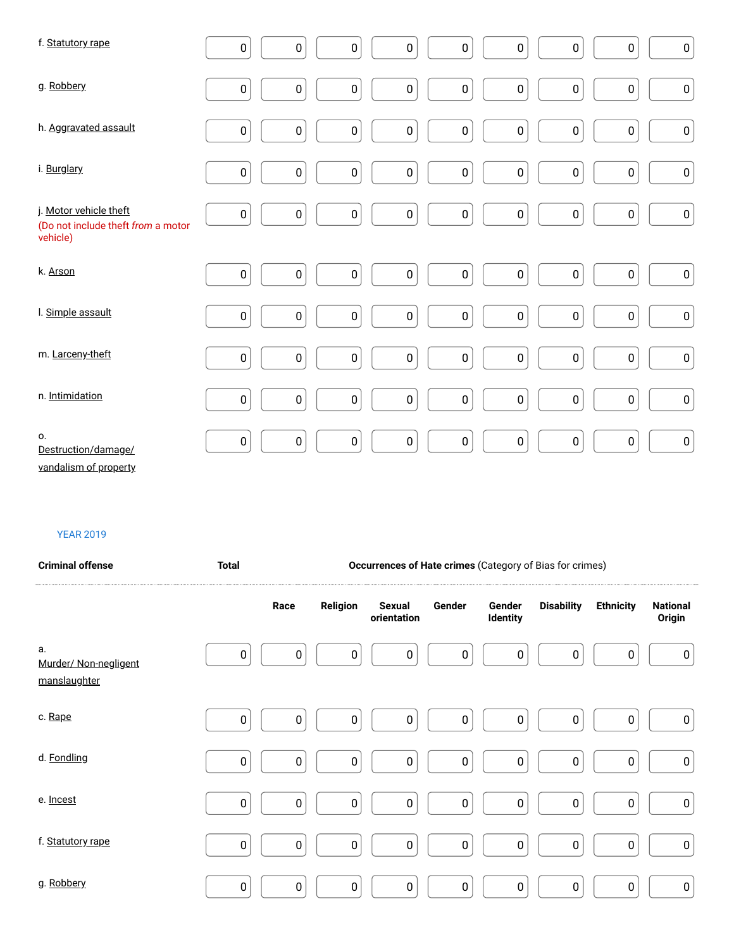| f. Statutory rape                                                        | $\pmb{0}$        | $\pmb{0}$ | $\pmb{0}$ | $\pmb{0}$ | $\pmb{0}$ | $\pmb{0}$        | $\pmb{0}$ | $\pmb{0}$<br>$\pmb{0}$ |
|--------------------------------------------------------------------------|------------------|-----------|-----------|-----------|-----------|------------------|-----------|------------------------|
| g. Robbery                                                               | $\pmb{0}$        | $\pmb{0}$ | $\pmb{0}$ | 0         | $\pmb{0}$ | $\pmb{0}$        | $\pmb{0}$ | $\pmb{0}$<br>$\pmb{0}$ |
| h. Aggravated assault                                                    | $\pmb{0}$        | $\pmb{0}$ | $\pmb{0}$ | 0         | $\pmb{0}$ | $\pmb{0}$        | $\pmb{0}$ | $\pmb{0}$<br>$\pmb{0}$ |
| i. Burglary                                                              | $\pmb{0}$        | 0         | $\pmb{0}$ | 0         | 0         | $\pmb{0}$        | $\pmb{0}$ | $\pmb{0}$<br>$\pmb{0}$ |
| j. Motor vehicle theft<br>(Do not include theft from a motor<br>vehicle) | $\boldsymbol{0}$ | $\pmb{0}$ | $\pmb{0}$ | 0         | $\pmb{0}$ | $\boldsymbol{0}$ | $\pmb{0}$ | $\pmb{0}$<br>$\pmb{0}$ |
| k. Arson                                                                 | $\pmb{0}$        | $\pmb{0}$ | $\pmb{0}$ | 0         | 0         | $\pmb{0}$        | $\pmb{0}$ | $\pmb{0}$<br>$\pmb{0}$ |
| I. Simple assault                                                        | $\pmb{0}$        | $\pmb{0}$ | $\pmb{0}$ | $\pmb{0}$ | $\pmb{0}$ | $\boldsymbol{0}$ | $\pmb{0}$ | $\pmb{0}$<br>$\pmb{0}$ |
| m. Larceny-theft                                                         | $\pmb{0}$        | $\pmb{0}$ | $\pmb{0}$ | 0         | $\pmb{0}$ | $\pmb{0}$        | $\pmb{0}$ | $\pmb{0}$<br>$\pmb{0}$ |
| n. Intimidation                                                          | $\pmb{0}$        | $\pmb{0}$ | $\pmb{0}$ | 0         | $\pmb{0}$ | $\pmb{0}$        | $\pmb{0}$ | $\pmb{0}$<br>$\pmb{0}$ |
| 0.<br>Destruction/damage/<br>vandalism of property                       | $\pmb{0}$        | $\pmb{0}$ | $\pmb{0}$ | $\pmb{0}$ | $\pmb{0}$ | $\pmb{0}$        | $\pmb{0}$ | $\pmb{0}$<br>$\pmb{0}$ |

vandalism of property

| <b>Criminal offense</b>                     | <b>Total</b> | Occurrences of Hate crimes (Category of Bias for crimes) |           |                              |        |                    |                   |                  |                           |
|---------------------------------------------|--------------|----------------------------------------------------------|-----------|------------------------------|--------|--------------------|-------------------|------------------|---------------------------|
|                                             |              | Race                                                     | Religion  | <b>Sexual</b><br>orientation | Gender | Gender<br>Identity | <b>Disability</b> | <b>Ethnicity</b> | <b>National</b><br>Origin |
| а.<br>Murder/ Non-negligent<br>manslaughter | $\pmb{0}$    | $\pmb{0}$                                                | $\bf{0}$  | $\pmb{0}$                    | 0      | $\pmb{0}$          | $\mathbf 0$       | 0                | 0                         |
| c. Rape                                     | 0            | $\pmb{0}$                                                | $\pmb{0}$ | $\pmb{0}$                    | 0      | $\pmb{0}$          | $\mathbf 0$       | $\pmb{0}$        | $\pmb{0}$                 |
| d. Fondling                                 | 0            | $\pmb{0}$                                                | $\pmb{0}$ | $\pmb{0}$                    | 0      | $\pmb{0}$          | $\mathbf 0$       | $\pmb{0}$        | $\pmb{0}$                 |
| e. Incest                                   | $\pmb{0}$    | $\pmb{0}$                                                | $\pmb{0}$ | $\pmb{0}$                    | 0      | $\pmb{0}$          | $\pmb{0}$         | $\pmb{0}$        | $\pmb{0}$                 |
| f. Statutory rape                           | $\pmb{0}$    | $\pmb{0}$                                                | $\pmb{0}$ | $\pmb{0}$                    | 0      | $\pmb{0}$          | $\boldsymbol{0}$  | $\pmb{0}$        | $\pmb{0}$                 |
| g. Robbery                                  | 0            | $\pmb{0}$                                                | $\pmb{0}$ | $\pmb{0}$                    | 0      | $\pmb{0}$          | $\mathbf 0$       | $\pmb{0}$        | 0                         |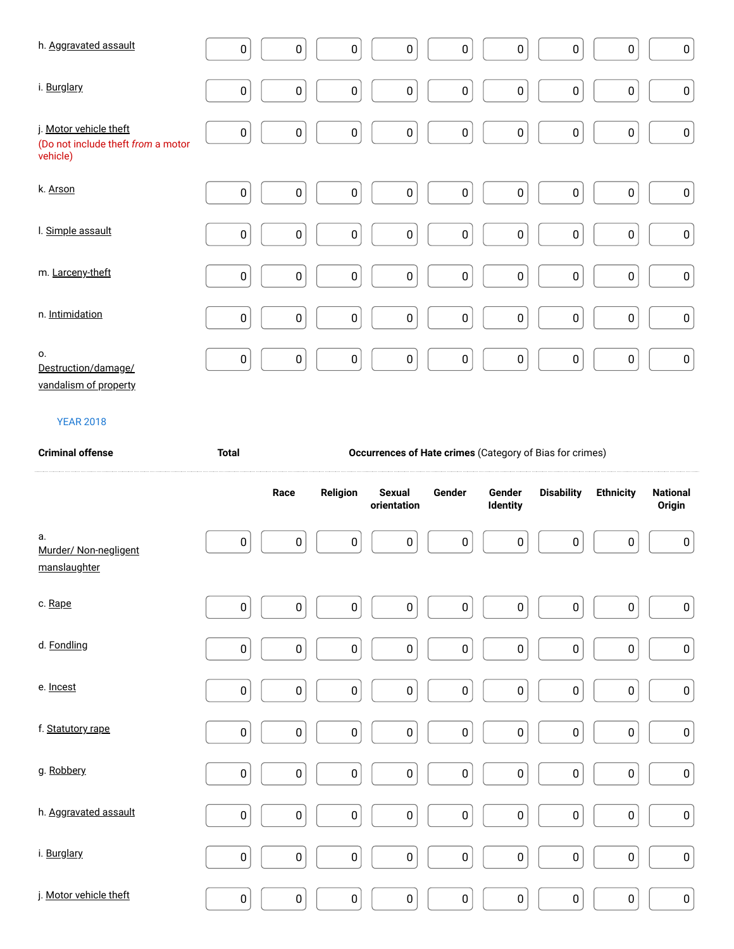| h. Aggravated assault                                                    | $\pmb{0}$ | $\pmb{0}$ | $\pmb{0}$ | 0         | $\pmb{0}$ | $\pmb{0}$ | $\pmb{0}$        | $\pmb{0}$<br>$\pmb{0}$   |
|--------------------------------------------------------------------------|-----------|-----------|-----------|-----------|-----------|-----------|------------------|--------------------------|
| i. Burglary                                                              | $\pmb{0}$ | $\pmb{0}$ | $\pmb{0}$ | 0         | $\pmb{0}$ | $\pmb{0}$ | $\pmb{0}$        | $\pmb{0}$<br>$\pmb{0}$   |
| j. Motor vehicle theft<br>(Do not include theft from a motor<br>vehicle) | $\pmb{0}$ | $\pmb{0}$ | $\pmb{0}$ | 0         | $\pmb{0}$ | $\pmb{0}$ | $\pmb{0}$        | $\pmb{0}$<br>$\pmb{0}$   |
| k. Arson                                                                 | $\pmb{0}$ | $\pmb{0}$ | $\pmb{0}$ | $\pmb{0}$ | $\pmb{0}$ | $\pmb{0}$ | $\pmb{0}$        | $\pmb{0}$<br>$\mathbf 0$ |
| I. Simple assault                                                        | $\pmb{0}$ | $\pmb{0}$ | $\pmb{0}$ | 0         | $\pmb{0}$ | $\pmb{0}$ | $\pmb{0}$        | $\pmb{0}$<br>$\pmb{0}$   |
| m. Larceny-theft                                                         | $\pmb{0}$ | $\pmb{0}$ | $\pmb{0}$ | 0         | $\pmb{0}$ | $\pmb{0}$ | $\pmb{0}$        | $\pmb{0}$<br>$\pmb{0}$   |
| n. Intimidation                                                          | $\pmb{0}$ | $\pmb{0}$ | $\pmb{0}$ | 0         | $\pmb{0}$ | $\pmb{0}$ | $\boldsymbol{0}$ | $\pmb{0}$<br>$\pmb{0}$   |
| 0.<br>Destruction/damage/<br>vandalism of property                       | $\pmb{0}$ | $\pmb{0}$ | $\pmb{0}$ | $\pmb{0}$ | $\pmb{0}$ | $\pmb{0}$ | $\pmb{0}$        | $\pmb{0}$<br>$\pmb{0}$   |

vandalism of property

| <b>Criminal offense</b>                     | <b>Total</b> | Occurrences of Hate crimes (Category of Bias for crimes) |           |                              |           |                    |                   |                  |                           |
|---------------------------------------------|--------------|----------------------------------------------------------|-----------|------------------------------|-----------|--------------------|-------------------|------------------|---------------------------|
|                                             |              | Race                                                     | Religion  | <b>Sexual</b><br>orientation | Gender    | Gender<br>Identity | <b>Disability</b> | <b>Ethnicity</b> | <b>National</b><br>Origin |
| а.<br>Murder/ Non-negligent<br>manslaughter | $\pmb{0}$    | $\pmb{0}$                                                | $\pmb{0}$ | $\pmb{0}$                    | $\pmb{0}$ | $\pmb{0}$          | $\pmb{0}$         | $\pmb{0}$        | $\pmb{0}$                 |
| c. Rape                                     | 0            | $\pmb{0}$                                                | $\pmb{0}$ | $\pmb{0}$                    | $\pmb{0}$ | $\pmb{0}$          | $\pmb{0}$         | $\pmb{0}$        | 0                         |
| d. Fondling                                 | $\pmb{0}$    | $\pmb{0}$                                                | $\pmb{0}$ | $\pmb{0}$                    | $\pmb{0}$ | $\pmb{0}$          | $\pmb{0}$         | $\pmb{0}$        | $\pmb{0}$                 |
| e. Incest                                   | $\pmb{0}$    | $\pmb{0}$                                                | $\pmb{0}$ | $\pmb{0}$                    | $\pmb{0}$ | $\pmb{0}$          | $\pmb{0}$         | $\pmb{0}$        | $\pmb{0}$                 |
| f. Statutory rape                           | $\pmb{0}$    | $\pmb{0}$                                                | $\pmb{0}$ | $\pmb{0}$                    | $\pmb{0}$ | $\pmb{0}$          | $\pmb{0}$         | $\pmb{0}$        | $\pmb{0}$                 |
| g. Robbery                                  | $\pmb{0}$    | $\pmb{0}$                                                | $\pmb{0}$ | $\pmb{0}$                    | $\pmb{0}$ | $\pmb{0}$          | 0                 | $\pmb{0}$        | 0                         |
| h. Aggravated assault                       | $\pmb{0}$    | $\pmb{0}$                                                | $\pmb{0}$ | $\pmb{0}$                    | $\pmb{0}$ | $\pmb{0}$          | $\pmb{0}$         | $\pmb{0}$        | $\pmb{0}$                 |
| i. Burglary                                 | $\pmb{0}$    | $\pmb{0}$                                                | $\pmb{0}$ | $\pmb{0}$                    | $\pmb{0}$ | $\mathbf 0$        | $\pmb{0}$         | $\pmb{0}$        | $\pmb{0}$                 |
| j. Motor vehicle theft                      | $\pmb{0}$    | $\pmb{0}$                                                | $\pmb{0}$ | $\pmb{0}$                    | $\pmb{0}$ | $\pmb{0}$          | $\pmb{0}$         | 0                | $\pmb{0}$                 |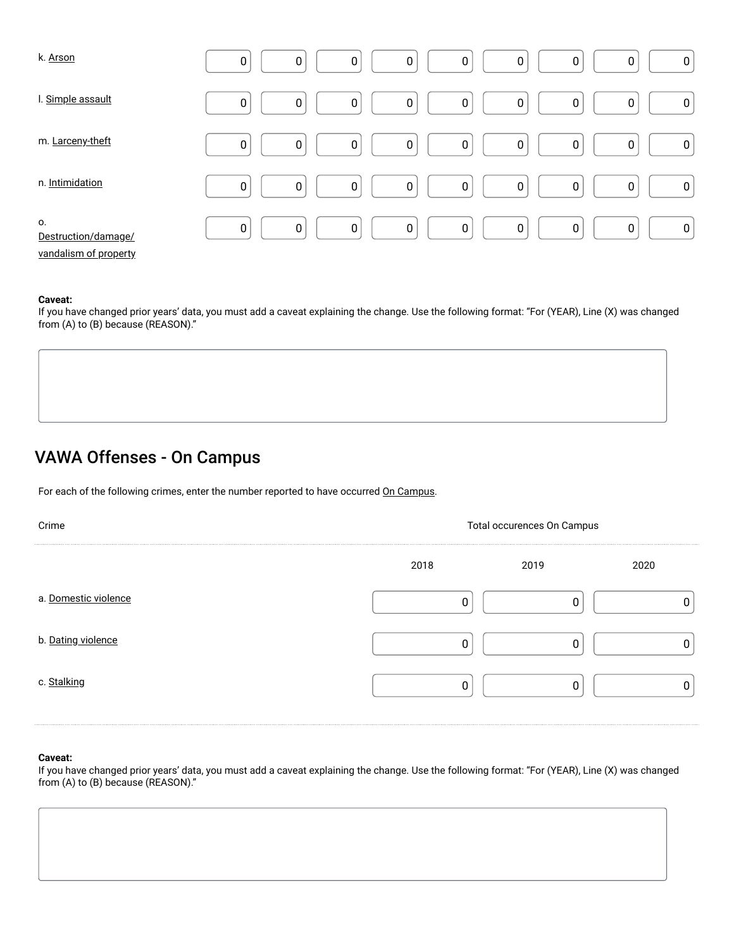| k. Arson                                           | $\pmb{0}$   | $\mathbf 0$ | $\pmb{0}$   | 0           | 0 | $\pmb{0}$   | 0                | 0<br>0           |
|----------------------------------------------------|-------------|-------------|-------------|-------------|---|-------------|------------------|------------------|
| I. Simple assault                                  | $\mathbf 0$ | $\mathbf 0$ | $\mathbf 0$ | 0           | 0 | $\mathbf 0$ | 0                | 0<br>0           |
| m. Larceny-theft                                   | $\mathbf 0$ | $\pmb{0}$   | $\mathbf 0$ | $\pmb{0}$   | 0 | $\pmb{0}$   | $\boldsymbol{0}$ | 0<br>0           |
| n. Intimidation                                    | $\mathbf 0$ | $\mathbf 0$ | $\mathbf 0$ | $\pmb{0}$   | 0 | $\mathbf 0$ | $\mathbf 0$      | $\mathbf 0$<br>0 |
| О.<br>Destruction/damage/<br>vandalism of property | $\pmb{0}$   | $\pmb{0}$   | $\pmb{0}$   | $\mathbf 0$ | 0 | $\pmb{0}$   | $\mathbf 0$      | 0<br>0           |

If you have changed prior years' data, you must add a caveat explaining the change. Use the following format: "For (YEAR), Line (X) was changed from (A) to (B) because (REASON)."

# VAWA Offenses - On Campus

| For each of the following crimes, enter the number reported to have occurred On Campus. |                            |      |      |  |  |  |
|-----------------------------------------------------------------------------------------|----------------------------|------|------|--|--|--|
| Crime                                                                                   | Total occurences On Campus |      |      |  |  |  |
|                                                                                         | 2018                       | 2019 | 2020 |  |  |  |
| a. Domestic violence                                                                    |                            |      |      |  |  |  |
| b. Dating violence                                                                      | C                          | 0    |      |  |  |  |
| c. Stalking                                                                             | C                          | 0    |      |  |  |  |

### **Caveat:**

If you have changed prior years' data, you must add a caveat explaining the change. Use the following format: "For (YEAR), Line (X) was changed from (A) to (B) because (REASON)."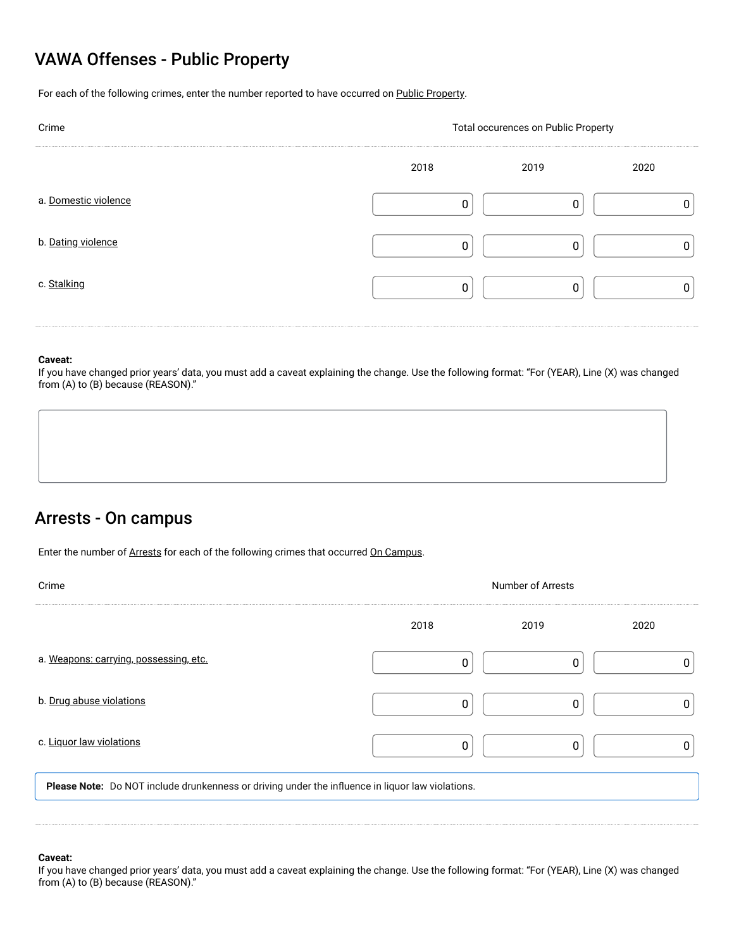## VAWA Offenses - Public Property

For each of the following crimes, enter the number reported to have occurred on Public Property.

| Crime                | Total occurences on Public Property |      |      |  |  |  |
|----------------------|-------------------------------------|------|------|--|--|--|
|                      | 2018                                | 2019 | 2020 |  |  |  |
| a. Domestic violence |                                     |      |      |  |  |  |
| b. Dating violence   |                                     |      |      |  |  |  |
| c. Stalking          |                                     |      |      |  |  |  |
|                      |                                     |      |      |  |  |  |

### **Caveat:**

If you have changed prior years' data, you must add a caveat explaining the change. Use the following format: "For (YEAR), Line (X) was changed from (A) to (B) because (REASON)."

### Arrests - On campus

Enter the number of Arrests for each of the following crimes that occurred On Campus.

| Crime                                                                                            | <b>Number of Arrests</b> |      |      |  |  |
|--------------------------------------------------------------------------------------------------|--------------------------|------|------|--|--|
|                                                                                                  | 2018                     | 2019 | 2020 |  |  |
| a. Weapons: carrying, possessing, etc.                                                           |                          |      |      |  |  |
| b. Drug abuse violations                                                                         | 0                        | 0    |      |  |  |
| c. Liquor law violations                                                                         | 0                        | O    |      |  |  |
| Please Note: Do NOT include drunkenness or driving under the influence in liquor law violations. |                          |      |      |  |  |
|                                                                                                  |                          |      |      |  |  |
|                                                                                                  |                          |      |      |  |  |

### **Caveat:**

If you have changed prior years' data, you must add a caveat explaining the change. Use the following format: "For (YEAR), Line (X) was changed from (A) to (B) because (REASON)."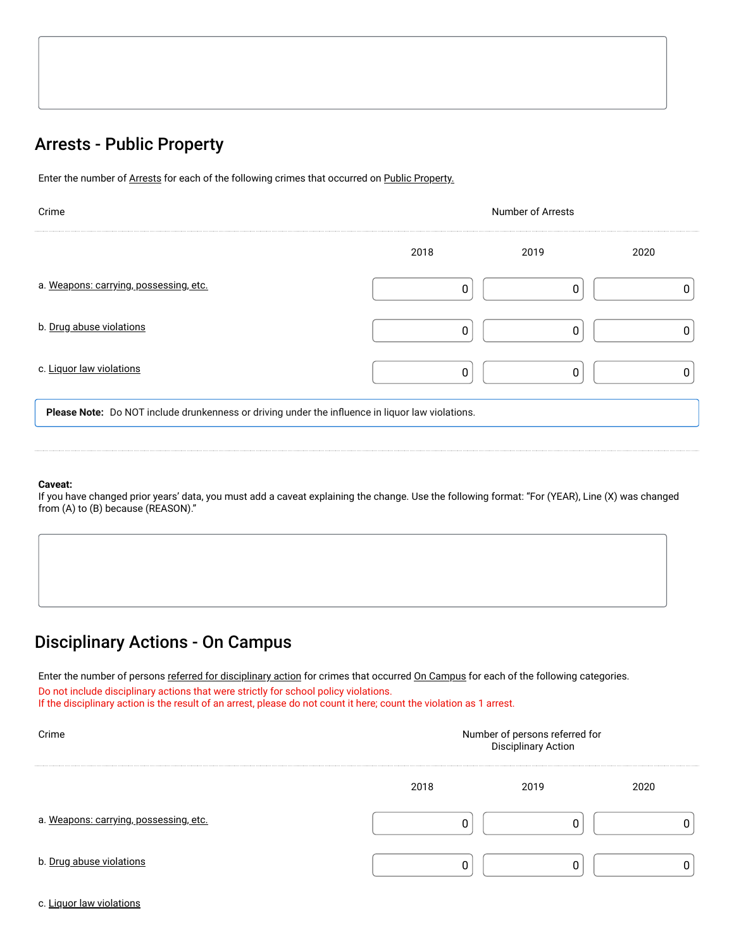# Arrests - Public Property

Enter the number of Arrests for each of the following crimes that occurred on Public Property.

| Crime                                                                                            | <b>Number of Arrests</b> |      |      |  |  |
|--------------------------------------------------------------------------------------------------|--------------------------|------|------|--|--|
|                                                                                                  | 2018                     | 2019 | 2020 |  |  |
| a. Weapons: carrying, possessing, etc.                                                           | ſ                        | 0    |      |  |  |
| b. Drug abuse violations                                                                         | 0                        | 0    |      |  |  |
| c. Liquor law violations                                                                         | 0                        | 0    |      |  |  |
| Please Note: Do NOT include drunkenness or driving under the influence in liquor law violations. |                          |      |      |  |  |

### **Caveat:**

If you have changed prior years' data, you must add a caveat explaining the change. Use the following format: "For (YEAR), Line (X) was changed from (A) to (B) because (REASON)."

## Disciplinary Actions - On Campus

on Campus<br>
<u>referred for disciplinary action</u> for crimes that occurred <u>On Campus</u><br>
stions that were strictly for school policy violations.<br>
a result of an arror along do not count it berg quite the violation of Enter the number of persons <u>referred for disciplinary action</u> for crimes that occurred <u>On Campus</u> for each of the following categories. Do not include disciplinary actions that were strictly for school policy violations.

If the disciplinary action is the result of an arrest, please do not count it here; count the violation as 1 arrest.

| Crime                                  | Number of persons referred for<br><b>Disciplinary Action</b> |      |      |  |  |  |
|----------------------------------------|--------------------------------------------------------------|------|------|--|--|--|
|                                        | 2018                                                         | 2019 | 2020 |  |  |  |
| a. Weapons: carrying, possessing, etc. |                                                              |      |      |  |  |  |
| b. Drug abuse violations               |                                                              |      |      |  |  |  |

c. Liquor law violations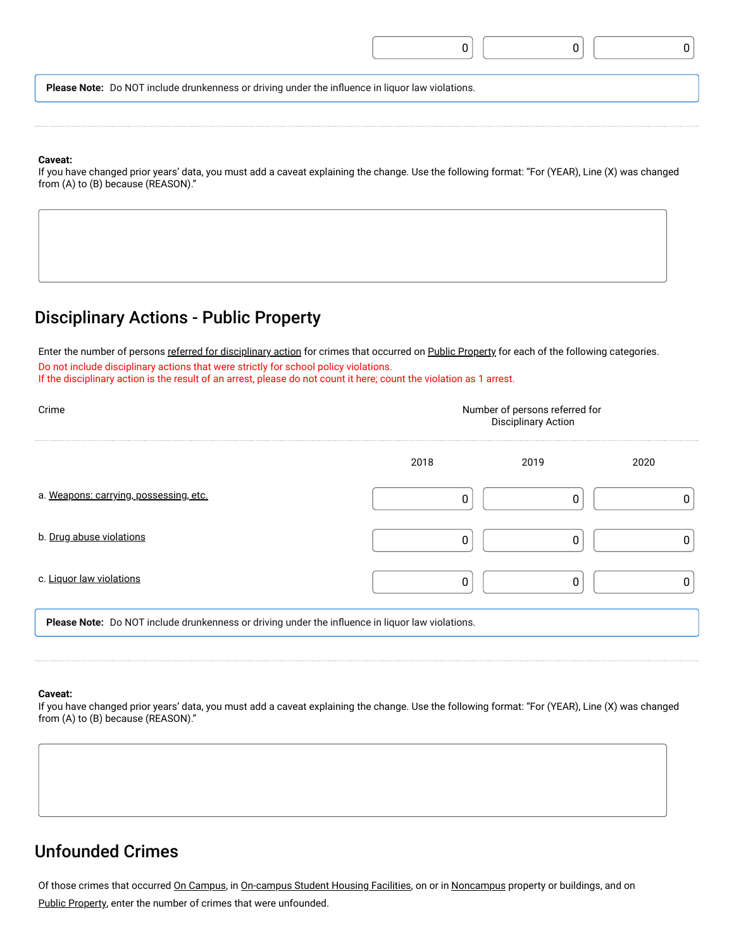|--|--|--|

**Please Note:** Do NOT include drunkenness or driving under the influence in liquor law violations.

#### **Caveat:**

If you have changed prior years' data, you must add a caveat explaining the change. Use the following format: "For (YEAR), Line (X) was changed from (A) to (B) because (REASON)."

### Disciplinary Actions - Public Property

ons - Public Proper<br>
<u>referred for disciplinary action</u><br>
stions that were strictly for sche<br>
a result of an arrest plot of a Enter the number of persons referred for disciplinary action for crimes that occurred on Public Property for each of the following categories. Do not include disciplinary actions that were strictly for school policy violations. If the disciplinary action is the result of an arrest, please do not count it here; count the violation as 1 arrest.

| Crime                                                                                            | Number of persons referred for<br><b>Disciplinary Action</b> |      |      |  |  |  |
|--------------------------------------------------------------------------------------------------|--------------------------------------------------------------|------|------|--|--|--|
|                                                                                                  | 2018                                                         | 2019 | 2020 |  |  |  |
| a. Weapons: carrying, possessing, etc.                                                           | 0                                                            | 0    |      |  |  |  |
| b. Drug abuse violations                                                                         | 0                                                            | 0    |      |  |  |  |
| c. Liquor law violations                                                                         | 0                                                            | 0    |      |  |  |  |
| Please Note: Do NOT include drunkenness or driving under the influence in liquor law violations. |                                                              |      |      |  |  |  |

### **Caveat:**

If you have changed prior years' data, you must add a caveat explaining the change. Use the following format: "For (YEAR), Line (X) was changed from (A) to (B) because (REASON)."

## Unfounded Crimes

Public Property, enter the number of crimes that were unfounded. S<br><u>On Campus</u>, in <u>On-campus Student Housing Facilities</u><br>ber of crimes that were unfounded. Of those crimes that occurred <u>On Campus</u>, in <u>On-campus Student Housing Facilities</u>, on or in <u>Noncampus</u> property or buildings, and on